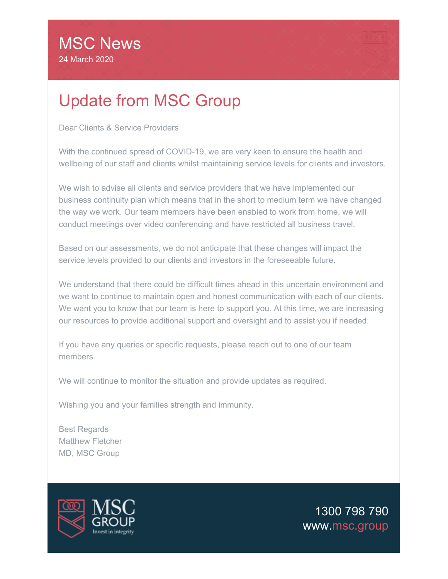## Update from MSC Group

Dear Clients & Service Providers

With the continued spread of COVID-19, we are very keen to ensure the health and wellbeing of our staff and clients whilst maintaining service levels for clients and investors.

We wish to advise all clients and service providers that we have implemented our business continuity plan which means that in the short to medium term we have changed the way we work. Our team members have been enabled to work from home, we will conduct meetings over video conferencing and have restricted all business travel.

Based on our assessments, we do not anticipate that these changes will impact the service levels provided to our clients and investors in the foreseeable future.

We understand that there could be difficult times ahead in this uncertain environment and we want to continue to maintain open and honest communication with each of our clients. We want you to know that our team is here to support you. At this time, we are increasing our resources to provide additional support and oversight and to assist you if needed.

If you have any queries or specific requests, please reach out to one of our team members.

We will continue to monitor the situation and provide updates as required.

Wishing you and your families strength and immunity.

Best Regards Matthew Fletcher MD, MSC Group



[1300 798 790](tel:1300798790) [www.msc.group](https://email.msc.group/t/t-l-nhukthd-l-i/)